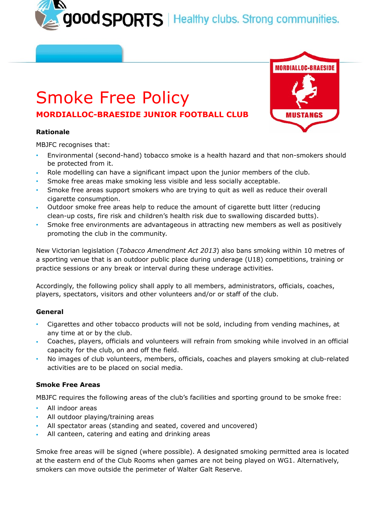good SPORTS | Healthy clubs. Strong communities.

# Smoke Free Policy **MORDIALLOC-BRAESIDE JUNIOR FOOTBALL CLUB**

## **Rationale**

MBJFC recognises that:

- Environmental (second-hand) tobacco smoke is a health hazard and that non-smokers should be protected from it.
- Role modelling can have a significant impact upon the junior members of the club.
- Smoke free areas make smoking less visible and less socially acceptable.
- Smoke free areas support smokers who are trying to quit as well as reduce their overall cigarette consumption.
- Outdoor smoke free areas help to reduce the amount of cigarette butt litter (reducing clean-up costs, fire risk and children's health risk due to swallowing discarded butts).
- Smoke free environments are advantageous in attracting new members as well as positively promoting the club in the community.

New Victorian legislation (*Tobacco Amendment Act 2013*) also bans smoking within 10 metres of a sporting venue that is an outdoor public place during underage (U18) competitions, training or practice sessions or any break or interval during these underage activities.

Accordingly, the following policy shall apply to all members, administrators, officials, coaches, players, spectators, visitors and other volunteers and/or or staff of the club.

## **General**

- Cigarettes and other tobacco products will not be sold, including from vending machines, at any time at or by the club.
- Coaches, players, officials and volunteers will refrain from smoking while involved in an official capacity for the club, on and off the field.
- No images of club volunteers, members, officials, coaches and players smoking at club-related activities are to be placed on social media.

## **Smoke Free Areas**

MBJFC requires the following areas of the club's facilities and sporting ground to be smoke free:

- All indoor areas
- All outdoor playing/training areas
- All spectator areas (standing and seated, covered and uncovered)
- All canteen, catering and eating and drinking areas

Smoke free areas will be signed (where possible). A designated smoking permitted area is located at the eastern end of the Club Rooms when games are not being played on WG1. Alternatively, smokers can move outside the perimeter of Walter Galt Reserve.